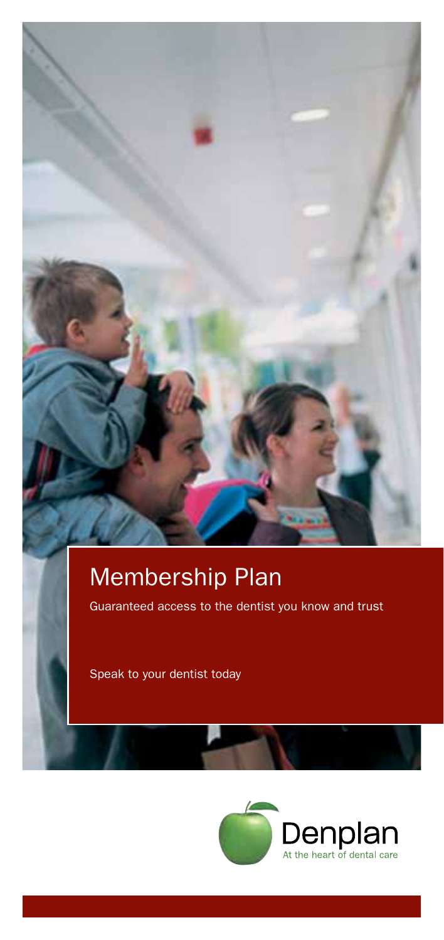# Membership Plan

Guaranteed access to the dentist you know and trust

Speak to your dentist today

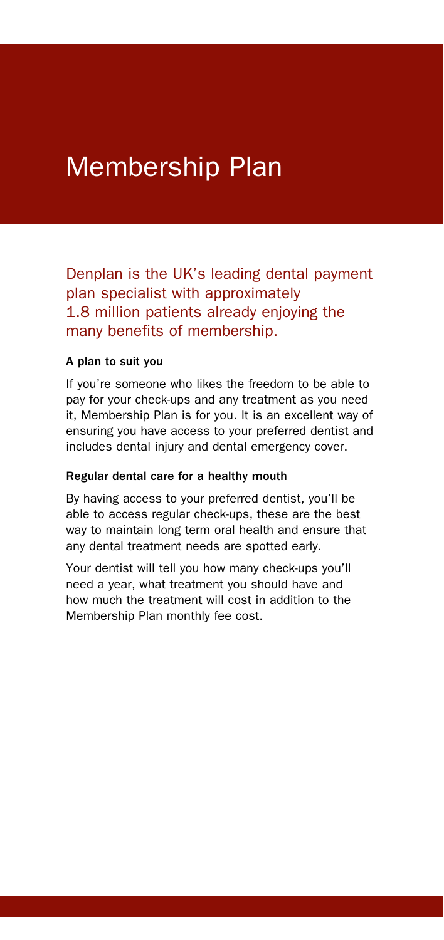# Membership Plan

Denplan is the UK's leading dental payment plan specialist with approximately 1.8 million patients already enjoying the many benefits of membership.

#### A plan to suit you

If you're someone who likes the freedom to be able to pay for your check-ups and any treatment as you need it, Membership Plan is for you. It is an excellent way of ensuring you have access to your preferred dentist and includes dental injury and dental emergency cover.

#### Regular dental care for a healthy mouth

By having access to your preferred dentist, you'll be able to access regular check-ups, these are the best way to maintain long term oral health and ensure that any dental treatment needs are spotted early.

Your dentist will tell you how many check-ups you'll need a year, what treatment you should have and how much the treatment will cost in addition to the Membership Plan monthly fee cost.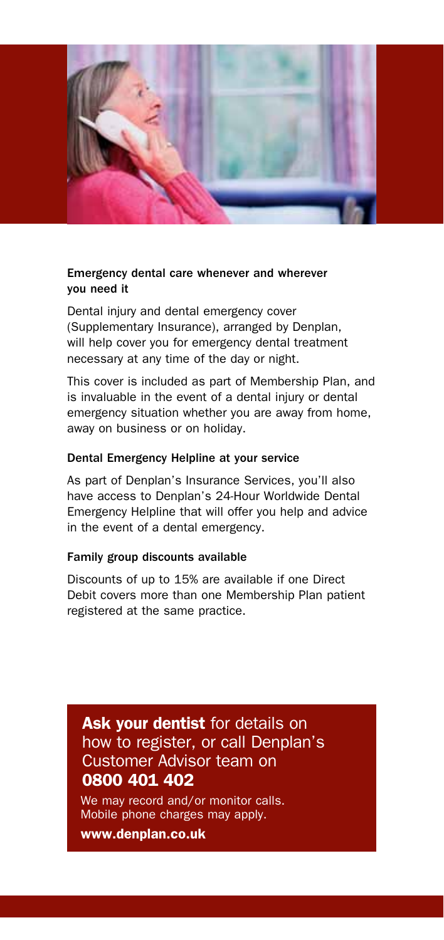

# Emergency dental care whenever and wherever you need it

Dental injury and dental emergency cover (Supplementary Insurance), arranged by Denplan, will help cover you for emergency dental treatment necessary at any time of the day or night.

This cover is included as part of Membership Plan, and is invaluable in the event of a dental injury or dental emergency situation whether you are away from home, away on business or on holiday.

## Dental Emergency Helpline at your service

As part of Denplan's Insurance Services, you'll also have access to Denplan's 24-Hour Worldwide Dental Emergency Helpline that will offer you help and advice in the event of a dental emergency.

### Family group discounts available

Discounts of up to 15% are available if one Direct Debit covers more than one Membership Plan patient registered at the same practice.

Ask your dentist for details on how to register, or call Denplan's Customer Advisor team on 0800 401 402

We may record and/or monitor calls. Mobile phone charges may apply.

www.denplan.co.uk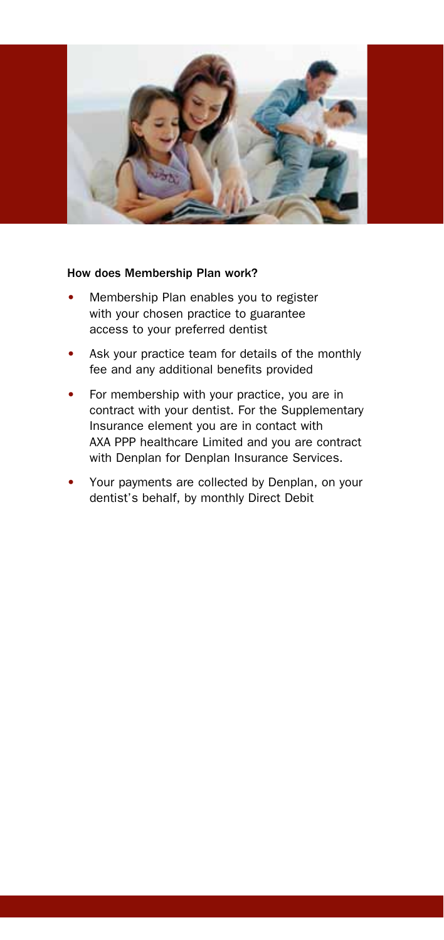

#### How does Membership Plan work?

- Membership Plan enables you to register with your chosen practice to guarantee access to your preferred dentist
- Ask your practice team for details of the monthly fee and any additional benefits provided
- For membership with your practice, you are in contract with your dentist. For the Supplementary Insurance element you are in contact with AXA PPP healthcare Limited and you are contract with Denplan for Denplan Insurance Services.
- Your payments are collected by Denplan, on your dentist's behalf, by monthly Direct Debit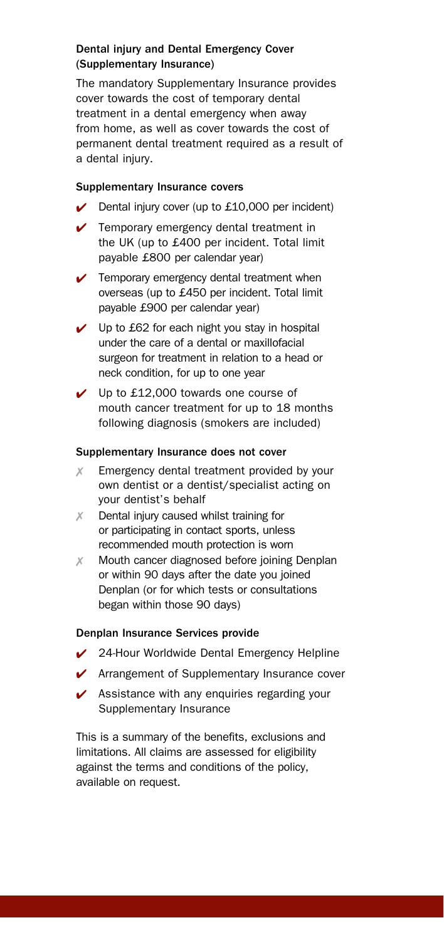### Dental injury and Dental Emergency Cover (Supplementary Insurance)

The mandatory Supplementary Insurance provides cover towards the cost of temporary dental treatment in a dental emergency when away from home, as well as cover towards the cost of permanent dental treatment required as a result of a dental injury.

#### Supplementary Insurance covers

- $\triangleright$  Dental injury cover (up to £10,000 per incident)
- $\triangleright$  Temporary emergency dental treatment in the UK (up to £400 per incident. Total limit payable £800 per calendar year)
- $\sqrt{\phantom{a}}$  Temporary emergency dental treatment when overseas (up to £450 per incident. Total limit payable £900 per calendar year)
- $\checkmark$  Up to £62 for each night you stay in hospital under the care of a dental or maxillofacial surgeon for treatment in relation to a head or neck condition, for up to one year
- $\vee$  Up to £12,000 towards one course of mouth cancer treatment for up to 18 months following diagnosis (smokers are included)

#### Supplementary Insurance does not cover

- $X$  Emergency dental treatment provided by your own dentist or a dentist/specialist acting on your dentist's behalf
- $X$  Dental injury caused whilst training for or participating in contact sports, unless recommended mouth protection is worn
- $X$  Mouth cancer diagnosed before joining Denplan or within 90 days after the date you joined Denplan (or for which tests or consultations began within those 90 days)

#### Denplan Insurance Services provide

- ◆ 24-Hour Worldwide Dental Emergency Helpline
- $\sqrt{\phantom{a}}$  Arrangement of Supplementary Insurance cover
- $\triangleright$  Assistance with any enquiries regarding your Supplementary Insurance

This is a summary of the benefits, exclusions and limitations. All claims are assessed for eligibility against the terms and conditions of the policy, available on request.